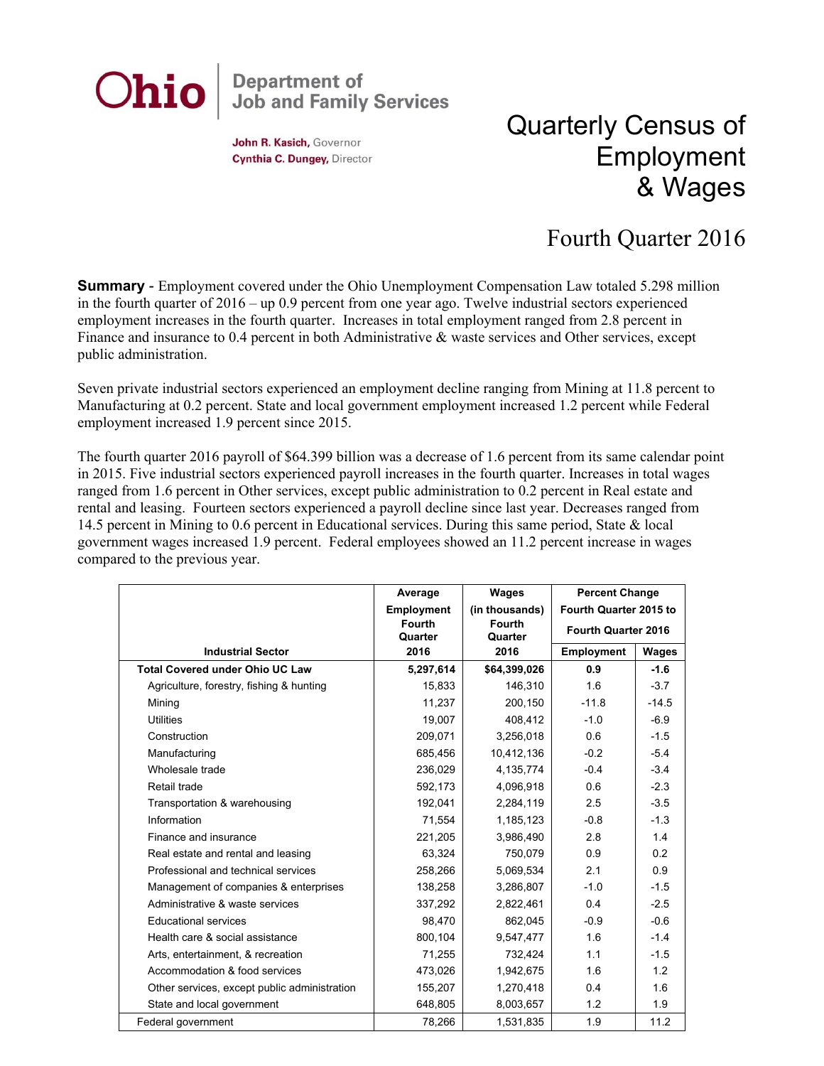

John R. Kasich, Governor Cynthia C. Dungey, Director

## Quarterly Census of Employment & Wages

## Fourth Quarter 2016

**Summary** - Employment covered under the Ohio Unemployment Compensation Law totaled 5.298 million in the fourth quarter of 2016 – up 0.9 percent from one year ago. Twelve industrial sectors experienced employment increases in the fourth quarter. Increases in total employment ranged from 2.8 percent in Finance and insurance to 0.4 percent in both Administrative & waste services and Other services, except public administration.

Seven private industrial sectors experienced an employment decline ranging from Mining at 11.8 percent to Manufacturing at 0.2 percent. State and local government employment increased 1.2 percent while Federal employment increased 1.9 percent since 2015.

The fourth quarter 2016 payroll of \$64.399 billion was a decrease of 1.6 percent from its same calendar point in 2015. Five industrial sectors experienced payroll increases in the fourth quarter. Increases in total wages ranged from 1.6 percent in Other services, except public administration to 0.2 percent in Real estate and rental and leasing. Fourteen sectors experienced a payroll decline since last year. Decreases ranged from 14.5 percent in Mining to 0.6 percent in Educational services. During this same period, State & local government wages increased 1.9 percent. Federal employees showed an 11.2 percent increase in wages compared to the previous year.

|                                              | Average<br><b>Employment</b> | Wages<br>(in thousands)  | <b>Percent Change</b><br>Fourth Quarter 2015 to<br><b>Fourth Quarter 2016</b> |         |
|----------------------------------------------|------------------------------|--------------------------|-------------------------------------------------------------------------------|---------|
|                                              | <b>Fourth</b><br>Quarter     | <b>Fourth</b><br>Quarter |                                                                               |         |
| <b>Industrial Sector</b>                     | 2016                         | 2016                     | <b>Employment</b>                                                             | Wages   |
| <b>Total Covered under Ohio UC Law</b>       | 5,297,614                    | \$64,399,026             | 0.9                                                                           | $-1.6$  |
| Agriculture, forestry, fishing & hunting     | 15,833                       | 146,310                  | 1.6                                                                           | $-3.7$  |
| Mining                                       | 11,237                       | 200,150                  | $-11.8$                                                                       | $-14.5$ |
| <b>Utilities</b>                             | 19,007                       | 408,412                  | $-1.0$                                                                        | $-6.9$  |
| Construction                                 | 209,071                      | 3,256,018                | 0.6                                                                           | $-1.5$  |
| Manufacturing                                | 685,456                      | 10,412,136               | $-0.2$                                                                        | $-5.4$  |
| Wholesale trade                              | 236,029                      | 4,135,774                | $-0.4$                                                                        | $-3.4$  |
| Retail trade                                 | 592.173                      | 4.096.918                | 0.6                                                                           | $-2.3$  |
| Transportation & warehousing                 | 192,041                      | 2,284,119                | 2.5                                                                           | $-3.5$  |
| Information                                  | 71,554                       | 1,185,123                | $-0.8$                                                                        | $-1.3$  |
| Finance and insurance                        | 221,205                      | 3,986,490                | 2.8                                                                           | 1.4     |
| Real estate and rental and leasing           | 63,324                       | 750,079                  | 0.9                                                                           | 0.2     |
| Professional and technical services          | 258,266                      | 5,069,534                | 2.1                                                                           | 0.9     |
| Management of companies & enterprises        | 138,258                      | 3,286,807                | $-1.0$                                                                        | $-1.5$  |
| Administrative & waste services              | 337,292                      | 2,822,461                | 0.4                                                                           | $-2.5$  |
| <b>Educational services</b>                  | 98,470                       | 862.045                  | $-0.9$                                                                        | $-0.6$  |
| Health care & social assistance              | 800,104                      | 9,547,477                | 1.6                                                                           | $-1.4$  |
| Arts, entertainment, & recreation            | 71,255                       | 732,424                  | 1.1                                                                           | $-1.5$  |
| Accommodation & food services                | 473,026                      | 1,942,675                | 1.6                                                                           | 1.2     |
| Other services, except public administration | 155,207                      | 1,270,418                | 0.4                                                                           | 1.6     |
| State and local government                   | 648,805                      | 8,003,657                | 1.2                                                                           | 1.9     |
| Federal government                           | 78.266                       | 1,531,835                | 1.9                                                                           | 11.2    |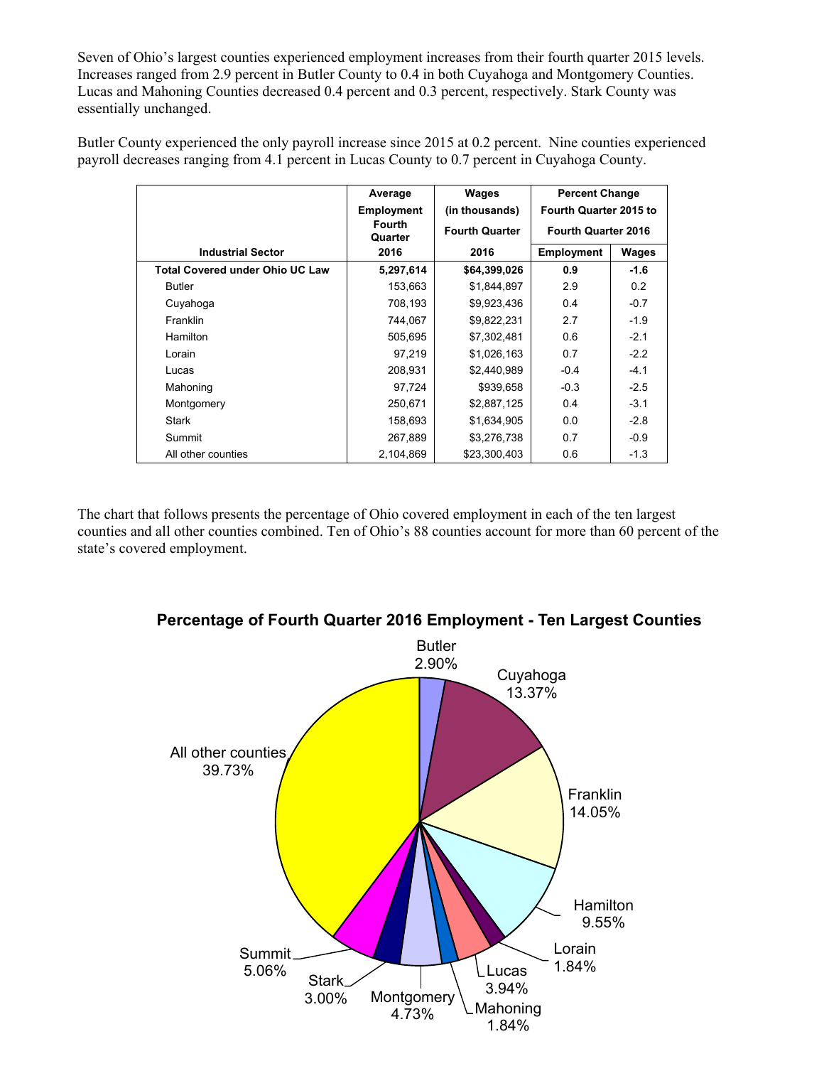Seven of Ohio's largest counties experienced employment increases from their fourth quarter 2015 levels. Increases ranged from 2.9 percent in Butler County to 0.4 in both Cuyahoga and Montgomery Counties. Lucas and Mahoning Counties decreased 0.4 percent and 0.3 percent, respectively. Stark County was essentially unchanged.

Butler County experienced the only payroll increase since 2015 at 0.2 percent. Nine counties experienced payroll decreases ranging from 4.1 percent in Lucas County to 0.7 percent in Cuyahoga County.

|                                        | Average                  | Wages                 | <b>Percent Change</b><br>Fourth Quarter 2015 to |        |
|----------------------------------------|--------------------------|-----------------------|-------------------------------------------------|--------|
|                                        | <b>Employment</b>        | (in thousands)        |                                                 |        |
|                                        | <b>Fourth</b><br>Quarter | <b>Fourth Quarter</b> | <b>Fourth Quarter 2016</b>                      |        |
| <b>Industrial Sector</b>               | 2016                     | 2016                  | <b>Employment</b>                               | Wages  |
| <b>Total Covered under Ohio UC Law</b> | 5,297,614                | \$64,399,026          | 0.9                                             | $-1.6$ |
| <b>Butler</b>                          | 153,663                  | \$1,844,897           | 2.9                                             | 0.2    |
| Cuyahoga                               | 708,193                  | \$9,923,436           | 0.4                                             | $-0.7$ |
| Franklin                               | 744,067                  | \$9,822,231           | 2.7                                             | $-1.9$ |
| Hamilton                               | 505,695                  | \$7,302,481           | 0.6                                             | $-2.1$ |
| Lorain                                 | 97,219                   | \$1,026,163           | 0.7                                             | $-2.2$ |
| Lucas                                  | 208,931                  | \$2,440,989           | $-0.4$                                          | $-4.1$ |
| Mahoning                               | 97,724                   | \$939,658             | $-0.3$                                          | $-2.5$ |
| Montgomery                             | 250,671                  | \$2,887,125           | 0.4                                             | $-3.1$ |
| Stark                                  | 158,693                  | \$1,634,905           | 0.0                                             | $-2.8$ |
| Summit                                 | 267,889                  | \$3,276,738           | 0.7                                             | $-0.9$ |
| All other counties                     | 2.104.869                | \$23,300,403          | 0.6                                             | $-1.3$ |

The chart that follows presents the percentage of Ohio covered employment in each of the ten largest counties and all other counties combined. Ten of Ohio's 88 counties account for more than 60 percent of the state's covered employment.



**Percentage of Fourth Quarter 2016 Employment - Ten Largest Counties**